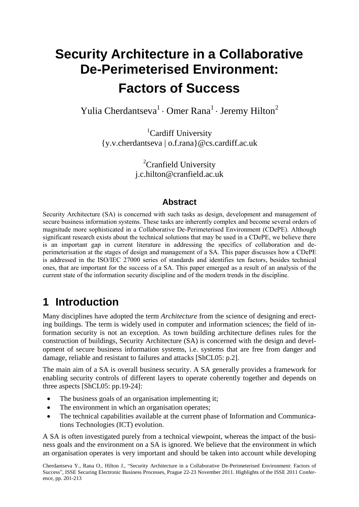# **Security Architecture in a Collaborative De-Perimeterised Environment: Factors of Success**

Yulia Cherdantseva $^1\cdot$  Omer Rana $^1\cdot$  Jeremy Hilton<sup>2</sup>

<sup>1</sup>Cardiff University {y.v.cherdantseva | o.f.rana}@cs.cardiff.ac.uk

> <sup>2</sup>Cranfield University j.c.hilton@cranfield.ac.uk

#### **Abstract**

Security Architecture (SA) is concerned with such tasks as design, development and management of secure business information systems. These tasks are inherently complex and become several orders of magnitude more sophisticated in a Collaborative De-Perimeterised Environment (CDePE). Although significant research exists about the technical solutions that may be used in a CDePE, we believe there is an important gap in current literature in addressing the specifics of collaboration and deperimeterisation at the stages of design and management of a SA. This paper discusses how a CDePE is addressed in the ISO/IEC 27000 series of standards and identifies ten factors, besides technical ones, that are important for the success of a SA. This paper emerged as a result of an analysis of the current state of the information security discipline and of the modern trends in the discipline.

# **1 Introduction**

Many disciplines have adopted the term *Architecture* from the science of designing and erecting buildings. The term is widely used in computer and information sciences; the field of information security is not an exception. As town building architecture defines rules for the construction of buildings, Security Architecture (SA) is concerned with the design and development of secure business information systems, i.e. systems that are free from danger and damage, reliable and resistant to failures and attacks [ShCL05: p.2].

The main aim of a SA is overall business security. A SA generally provides a framework for enabling security controls of different layers to operate coherently together and depends on three aspects [ShCL05: pp.19-24]:

- The business goals of an organisation implementing it;
- The environment in which an organisation operates;
- The technical capabilities available at the current phase of Information and Communications Technologies (ICT) evolution.

A SA is often investigated purely from a technical viewpoint, whereas the impact of the business goals and the environment on a SA is ignored. We believe that the environment in which an organisation operates is very important and should be taken into account while developing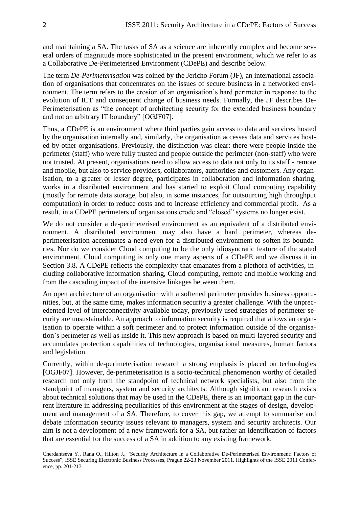and maintaining a SA. The tasks of SA as a science are inherently complex and become several orders of magnitude more sophisticated in the present environment, which we refer to as a Collaborative De-Perimeterised Environment (CDePE) and describe below.

The term *De-Perimeterisation* was coined by the Jericho Forum (JF), an international association of organisations that concentrates on the issues of secure business in a networked environment. The term refers to the erosion of an organisation's hard perimeter in response to the evolution of ICT and consequent change of business needs. Formally, the JF describes De-Perimeterisation as "the concept of architecting security for the extended business boundary and not an arbitrary IT boundary" [OGJF07].

Thus, a CDePE is an environment where third parties gain access to data and services hosted by the organisation internally and, similarly, the organisation accesses data and services hosted by other organisations. Previously, the distinction was clear: there were people inside the perimeter (staff) who were fully trusted and people outside the perimeter (non-staff) who were not trusted. At present, organisations need to allow access to data not only to its staff - remote and mobile, but also to service providers, collaborators, authorities and customers. Any organisation, to a greater or lesser degree, participates in collaboration and information sharing, works in a distributed environment and has started to exploit Cloud computing capability (mostly for remote data storage, but also, in some instances, for outsourcing high throughput computation) in order to reduce costs and to increase efficiency and commercial profit. As a result, in a CDePE perimeters of organisations erode and "closed" systems no longer exist.

We do not consider a de-perimeterised environment as an equivalent of a distributed environment. A distributed environment may also have a hard perimeter, whereas deperimeterisation accentuates a need even for a distributed environment to soften its boundaries. Nor do we consider Cloud computing to be the only idiosyncratic feature of the stated environment. Cloud computing is only one many aspects of a CDePE and we discuss it in Section 3.8. A CDePE reflects the complexity that emanates from a plethora of activities, including collaborative information sharing, Cloud computing, remote and mobile working and from the cascading impact of the intensive linkages between them.

An open architecture of an organisation with a softened perimeter provides business opportunities, but, at the same time, makes information security a greater challenge. With the unprecedented level of interconnectivity available today, previously used strategies of perimeter security are unsustainable. An approach to information security is required that allows an organisation to operate within a soft perimeter and to protect information outside of the organisation's perimeter as well as inside it. This new approach is based on multi-layered security and accumulates protection capabilities of technologies, organisational measures, human factors and legislation.

Currently, within de-perimeterisation research a strong emphasis is placed on technologies [OGJF07]. However, de-perimeterisation is a socio-technical phenomenon worthy of detailed research not only from the standpoint of technical network specialists, but also from the standpoint of managers, system and security architects. Although significant research exists about technical solutions that may be used in the CDePE, there is an important gap in the current literature in addressing peculiarities of this environment at the stages of design, development and management of a SA. Therefore, to cover this gap, we attempt to summarise and debate information security issues relevant to managers, system and security architects. Our aim is not a development of a new framework for a SA, but rather an identification of factors that are essential for the success of a SA in addition to any existing framework.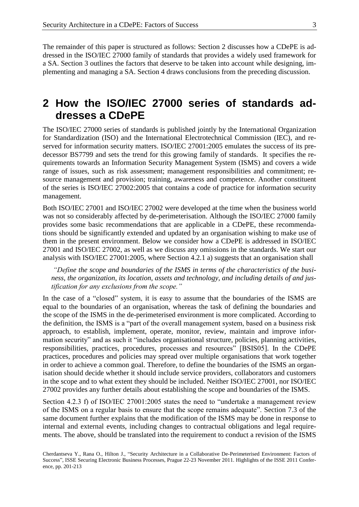The remainder of this paper is structured as follows: Section 2 discusses how a CDePE is addressed in the ISO/IEC 27000 family of standards that provides a widely used framework for a SA. Section 3 outlines the factors that deserve to be taken into account while designing, implementing and managing a SA. Section 4 draws conclusions from the preceding discussion.

### **2 How the ISO/IEC 27000 series of standards addresses a CDePE**

The ISO/IEC 27000 series of standards is published jointly by the International Organization for Standardization (ISO) and the International Electrotechnical Commission (IEC), and reserved for information security matters. ISO/IEC 27001:2005 emulates the success of its predecessor BS7799 and sets the trend for this growing family of standards. It specifies the requirements towards an Information Security Management System (ISMS) and covers a wide range of issues, such as risk assessment; management responsibilities and commitment; resource management and provision; training, awareness and competence. Another constituent of the series is ISO/IEC 27002:2005 that contains a code of practice for information security management.

Both ISO/IEC 27001 and ISO/IEC 27002 were developed at the time when the business world was not so considerably affected by de-perimeterisation. Although the ISO/IEC 27000 family provides some basic recommendations that are applicable in a CDePE, these recommendations should be significantly extended and updated by an organisation wishing to make use of them in the present environment. Below we consider how a CDePE is addressed in ISO/IEC 27001 and ISO/IEC 27002, as well as we discuss any omissions in the standards. We start our analysis with ISO/IEC 27001:2005, where Section 4.2.1 a) suggests that an organisation shall

*"Define the scope and boundaries of the ISMS in terms of the characteristics of the business, the organization, its location, assets and technology, and including details of and justification for any exclusions from the scope."*

In the case of a "closed" system, it is easy to assume that the boundaries of the ISMS are equal to the boundaries of an organisation, whereas the task of defining the boundaries and the scope of the ISMS in the de-perimeterised environment is more complicated. According to the definition, the ISMS is a "part of the overall management system, based on a business risk approach, to establish, implement, operate, monitor, review, maintain and improve information security" and as such it "includes organisational structure, policies, planning activities, responsibilities, practices, procedures, processes and resources" [BSIS05]. In the CDePE practices, procedures and policies may spread over multiple organisations that work together in order to achieve a common goal. Therefore, to define the boundaries of the ISMS an organisation should decide whether it should include service providers, collaborators and customers in the scope and to what extent they should be included. Neither ISO/IEC 27001, nor ISO/IEC 27002 provides any further details about establishing the scope and boundaries of the ISMS.

Section 4.2.3 f) of ISO/IEC 27001:2005 states the need to "undertake a management review of the ISMS on a regular basis to ensure that the scope remains adequate". Section 7.3 of the same document further explains that the modification of the ISMS may be done in response to internal and external events, including changes to contractual obligations and legal requirements. The above, should be translated into the requirement to conduct a revision of the ISMS

Cherdantseva Y., Rana O., Hilton J., "Security Architecture in a Collaborative De-Perimeterised Environment: Factors of Success", ISSE Securing Electronic Business Processes, Prague 22-23 November 2011. Highlights of the ISSE 2011 Conference, pp. 201-213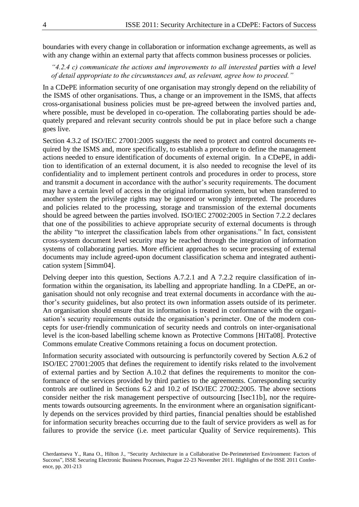boundaries with every change in collaboration or information exchange agreements, as well as with any change within an external party that affects common business processes or policies.

*"4.2.4 c) communicate the actions and improvements to all interested parties with a level of detail appropriate to the circumstances and, as relevant, agree how to proceed."*

In a CDePE information security of one organisation may strongly depend on the reliability of the ISMS of other organisations. Thus, a change or an improvement in the ISMS, that affects cross-organisational business policies must be pre-agreed between the involved parties and, where possible, must be developed in co-operation. The collaborating parties should be adequately prepared and relevant security controls should be put in place before such a change goes live.

Section 4.3.2 of ISO/IEC 27001:2005 suggests the need to protect and control documents required by the ISMS and, more specifically, to establish a procedure to define the management actions needed to ensure identification of documents of external origin. In a CDePE, in addition to identification of an external document, it is also needed to recognise the level of its confidentiality and to implement pertinent controls and procedures in order to process, store and transmit a document in accordance with the author's security requirements. The document may have a certain level of access in the original information system, but when transferred to another system the privilege rights may be ignored or wrongly interpreted. The procedures and policies related to the processing, storage and transmission of the external documents should be agreed between the parties involved. ISO/IEC 27002:2005 in Section 7.2.2 declares that one of the possibilities to achieve appropriate security of external documents is through the ability "to interpret the classification labels from other organisations." In fact, consistent cross-system document level security may be reached through the integration of information systems of collaborating parties. More efficient approaches to secure processing of external documents may include agreed-upon document classification schema and integrated authentication system [Simm04].

Delving deeper into this question, Sections A.7.2.1 and A 7.2.2 require classification of information within the organisation, its labelling and appropriate handling. In a CDePE, an organisation should not only recognise and treat external documents in accordance with the author's security guidelines, but also protect its own information assets outside of its perimeter. An organisation should ensure that its information is treated in conformance with the organisation's security requirements outside the organisation's perimeter. One of the modern concepts for user-friendly communication of security needs and controls on inter-organisational level is the icon-based labelling scheme known as Protective Commons [HiTa08]. Protective Commons emulate Creative Commons retaining a focus on document protection.

Information security associated with outsourcing is perfunctorily covered by Section A.6.2 of ISO/IEC 27001:2005 that defines the requirement to identify risks related to the involvement of external parties and by Section A.10.2 that defines the requirements to monitor the conformance of the services provided by third parties to the agreements. Corresponding security controls are outlined in Sections 6.2 and 10.2 of ISO/IEC 27002:2005. The above sections consider neither the risk management perspective of outsourcing [Isec11b], nor the requirements towards outsourcing agreements. In the environment where an organisation significantly depends on the services provided by third parties, financial penalties should be established for information security breaches occurring due to the fault of service providers as well as for failures to provide the service (i.e. meet particular Quality of Service requirements). This

Cherdantseva Y., Rana O., Hilton J., "Security Architecture in a Collaborative De-Perimeterised Environment: Factors of Success", ISSE Securing Electronic Business Processes, Prague 22-23 November 2011. Highlights of the ISSE 2011 Conference, pp. 201-213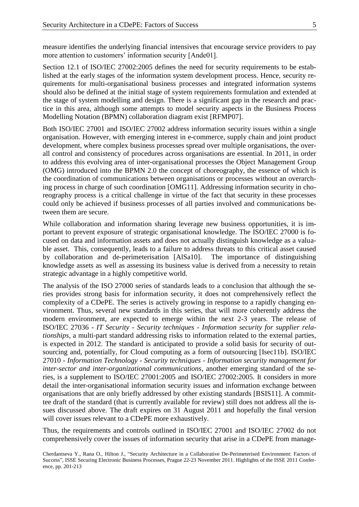measure identifies the underlying financial intensives that encourage service providers to pay more attention to customers' information security [Ande01].

Section 12.1 of ISO/IEC 27002:2005 defines the need for security requirements to be established at the early stages of the information system development process. Hence, security requirements for multi-organisational business processes and integrated information systems should also be defined at the initial stage of system requirements formulation and extended at the stage of system modelling and design. There is a significant gap in the research and practice in this area, although some attempts to model security aspects in the Business Process Modelling Notation (BPMN) collaboration diagram exist [RFMP07].

Both ISO/IEC 27001 and ISO/IEC 27002 address information security issues within a single organisation. However, with emerging interest in e-commerce, supply chain and joint product development, where complex business processes spread over multiple organisations, the overall control and consistency of procedures across organisations are essential. In 2011, in order to address this evolving area of inter-organisational processes the Object Management Group (OMG) introduced into the BPMN 2.0 the concept of choreography, the essence of which is the coordination of communications between organisations or processes without an overarching process in charge of such coordination [OMG11]. Addressing information security in choreography process is a critical challenge in virtue of the fact that security in these processes could only be achieved if business processes of all parties involved and communications between them are secure.

While collaboration and information sharing leverage new business opportunities, it is important to prevent exposure of strategic organisational knowledge. The ISO/IEC 27000 is focused on data and information assets and does not actually distinguish knowledge as a valuable asset. This, consequently, leads to a failure to address threats to this critical asset caused by collaboration and de-perimeterisation [AlSa10]. The importance of distinguishing knowledge assets as well as assessing its business value is derived from a necessity to retain strategic advantage in a highly competitive world.

The analysis of the ISO 27000 series of standards leads to a conclusion that although the series provides strong basis for information security, it does not comprehensively reflect the complexity of a CDePE. The series is actively growing in response to a rapidly changing environment. Thus, several new standards in this series, that will more coherently address the modern environment, are expected to emerge within the next 2-3 years. The release of ISO/IEC 27036 - *IT Security - Security techniques - Information security for supplier relationships*, a multi-part standard addressing risks to information related to the external parties, is expected in 2012. The standard is anticipated to provide a solid basis for security of outsourcing and, potentially, for Cloud computing as a form of outsourcing [Isec11b]. ISO/IEC 27010 - *Information Technology - Security techniques - Information security management for inter-sector and inter-organizational communications*, another emerging standard of the series, is a supplement to ISO/IEC 27001:2005 and ISO/IEC 27002:2005. It considers in more detail the inter-organisational information security issues and information exchange between organisations that are only briefly addressed by other existing standards [BSIS11]. A committee draft of the standard (that is currently available for review) still does not address all the issues discussed above. The draft expires on 31 August 2011 and hopefully the final version will cover issues relevant to a CDePE more exhaustively.

Thus, the requirements and controls outlined in ISO/IEC 27001 and ISO/IEC 27002 do not comprehensively cover the issues of information security that arise in a CDePE from manage-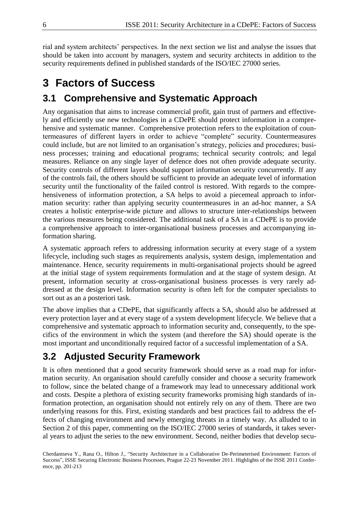rial and system architects' perspectives. In the next section we list and analyse the issues that should be taken into account by managers, system and security architects in addition to the security requirements defined in published standards of the ISO/IEC 27000 series.

# **3 Factors of Success**

### **3.1 Comprehensive and Systematic Approach**

Any organisation that aims to increase commercial profit, gain trust of partners and effectively and efficiently use new technologies in a CDePE should protect information in a comprehensive and systematic manner. Comprehensive protection refers to the exploitation of countermeasures of different layers in order to achieve "complete" security. Countermeasures could include, but are not limited to an organisation's strategy, policies and procedures; business processes; training and educational programs; technical security controls; and legal measures. Reliance on any single layer of defence does not often provide adequate security. Security controls of different layers should support information security concurrently. If any of the controls fail, the others should be sufficient to provide an adequate level of information security until the functionality of the failed control is restored. With regards to the comprehensiveness of information protection, a SA helps to avoid a piecemeal approach to information security: rather than applying security countermeasures in an ad-hoc manner, a SA creates a holistic enterprise-wide picture and allows to structure inter-relationships between the various measures being considered. The additional task of a SA in a CDePE is to provide a comprehensive approach to inter-organisational business processes and accompanying information sharing.

A systematic approach refers to addressing information security at every stage of a system lifecycle, including such stages as requirements analysis, system design, implementation and maintenance. Hence, security requirements in multi-organisational projects should be agreed at the initial stage of system requirements formulation and at the stage of system design. At present, information security at cross-organisational business processes is very rarely addressed at the design level. Information security is often left for the computer specialists to sort out as an a posteriori task.

The above implies that a CDePE, that significantly affects a SA, should also be addressed at every protection layer and at every stage of a system development lifecycle. We believe that a comprehensive and systematic approach to information security and, consequently, to the specifics of the environment in which the system (and therefore the SA) should operate is the most important and unconditionally required factor of a successful implementation of a SA.

### **3.2 Adjusted Security Framework**

It is often mentioned that a good security framework should serve as a road map for information security. An organisation should carefully consider and choose a security framework to follow, since the belated change of a framework may lead to unnecessary additional work and costs. Despite a plethora of existing security frameworks promising high standards of information protection, an organisation should not entirely rely on any of them. There are two underlying reasons for this. First, existing standards and best practices fail to address the effects of changing environment and newly emerging threats in a timely way. As alluded to in Section 2 of this paper, commenting on the ISO/IEC 27000 series of standards, it takes several years to adjust the series to the new environment. Second, neither bodies that develop secu-

Cherdantseva Y., Rana O., Hilton J., "Security Architecture in a Collaborative De-Perimeterised Environment: Factors of Success", ISSE Securing Electronic Business Processes, Prague 22-23 November 2011. Highlights of the ISSE 2011 Conference, pp. 201-213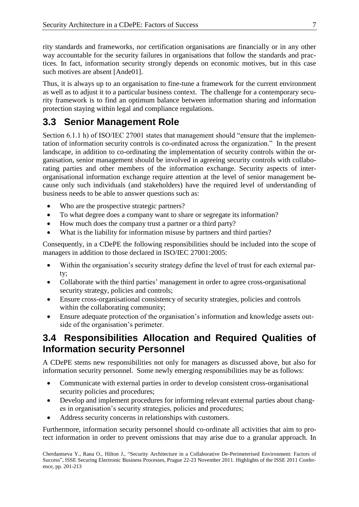rity standards and frameworks, nor certification organisations are financially or in any other way accountable for the security failures in organisations that follow the standards and practices. In fact, information security strongly depends on economic motives, but in this case such motives are absent [Ande01].

Thus, it is always up to an organisation to fine-tune a framework for the current environment as well as to adjust it to a particular business context. The challenge for a contemporary security framework is to find an optimum balance between information sharing and information protection staying within legal and compliance regulations.

#### **3.3 Senior Management Role**

Section 6.1.1 h) of ISO/IEC 27001 states that management should "ensure that the implementation of information security controls is co-ordinated across the organization." In the present landscape, in addition to co-ordinating the implementation of security controls within the organisation, senior management should be involved in agreeing security controls with collaborating parties and other members of the information exchange. Security aspects of interorganisational information exchange require attention at the level of senior management because only such individuals (and stakeholders) have the required level of understanding of business needs to be able to answer questions such as:

- Who are the prospective strategic partners?
- To what degree does a company want to share or segregate its information?
- How much does the company trust a partner or a third party?
- What is the liability for information misuse by partners and third parties?

Consequently, in a CDePE the following responsibilities should be included into the scope of managers in addition to those declared in ISO/IEC 27001:2005:

- Within the organisation's security strategy define the level of trust for each external party;
- Collaborate with the third parties' management in order to agree cross-organisational security strategy, policies and controls;
- Ensure cross-organisational consistency of security strategies, policies and controls within the collaborating community;
- Ensure adequate protection of the organisation's information and knowledge assets outside of the organisation's perimeter.

### **3.4 Responsibilities Allocation and Required Qualities of Information security Personnel**

A CDePE stems new responsibilities not only for managers as discussed above, but also for information security personnel. Some newly emerging responsibilities may be as follows:

- Communicate with external parties in order to develop consistent cross-organisational security policies and procedures;
- Develop and implement procedures for informing relevant external parties about changes in organisation's security strategies, policies and procedures;
- Address security concerns in relationships with customers.

Furthermore, information security personnel should co-ordinate all activities that aim to protect information in order to prevent omissions that may arise due to a granular approach. In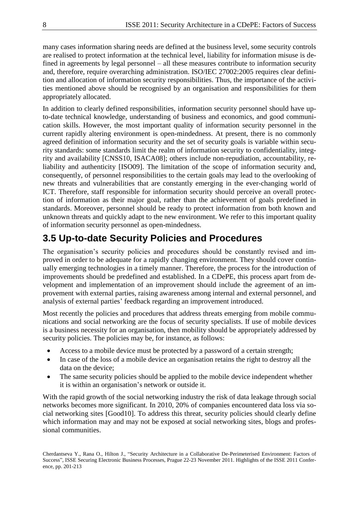many cases information sharing needs are defined at the business level, some security controls are realised to protect information at the technical level, liability for information misuse is defined in agreements by legal personnel – all these measures contribute to information security and, therefore, require overarching administration. ISO/IEC 27002:2005 requires clear definition and allocation of information security responsibilities. Thus, the importance of the activities mentioned above should be recognised by an organisation and responsibilities for them appropriately allocated.

In addition to clearly defined responsibilities, information security personnel should have upto-date technical knowledge, understanding of business and economics, and good communication skills. However, the most important quality of information security personnel in the current rapidly altering environment is open-mindedness. At present, there is no commonly agreed definition of information security and the set of security goals is variable within security standards: some standards limit the realm of information security to confidentiality, integrity and availability [CNSS10, ISACA08]; others include non-repudiation, accountability, reliability and authenticity [ISO09]. The limitation of the scope of information security and, consequently, of personnel responsibilities to the certain goals may lead to the overlooking of new threats and vulnerabilities that are constantly emerging in the ever-changing world of ICT. Therefore, staff responsible for information security should perceive an overall protection of information as their major goal, rather than the achievement of goals predefined in standards. Moreover, personnel should be ready to protect information from both known and unknown threats and quickly adapt to the new environment. We refer to this important quality of information security personnel as open-mindedness.

### **3.5 Up-to-date Security Policies and Procedures**

The organisation's security policies and procedures should be constantly revised and improved in order to be adequate for a rapidly changing environment. They should cover continually emerging technologies in a timely manner. Therefore, the process for the introduction of improvements should be predefined and established. In a CDePE, this process apart from development and implementation of an improvement should include the agreement of an improvement with external parties, raising awareness among internal and external personnel, and analysis of external parties' feedback regarding an improvement introduced.

Most recently the policies and procedures that address threats emerging from mobile communications and social networking are the focus of security specialists. If use of mobile devices is a business necessity for an organisation, then mobility should be appropriately addressed by security policies. The policies may be, for instance, as follows:

- Access to a mobile device must be protected by a password of a certain strength;
- In case of the loss of a mobile device an organisation retains the right to destroy all the data on the device;
- The same security policies should be applied to the mobile device independent whether it is within an organisation's network or outside it.

With the rapid growth of the social networking industry the risk of data leakage through social networks becomes more significant. In 2010, 20% of companies encountered data loss via social networking sites [Good10]. To address this threat, security policies should clearly define which information may and may not be exposed at social networking sites, blogs and professional communities.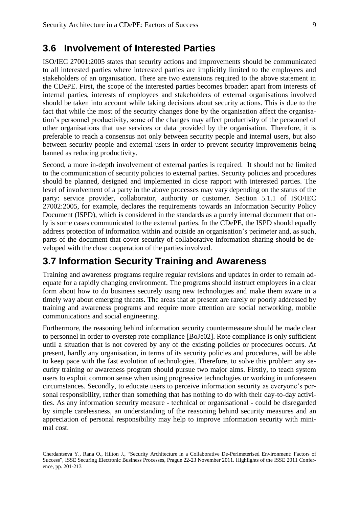#### **3.6 Involvement of Interested Parties**

ISO/IEC 27001:2005 states that security actions and improvements should be communicated to all interested parties where interested parties are implicitly limited to the employees and stakeholders of an organisation. There are two extensions required to the above statement in the CDePE. First, the scope of the interested parties becomes broader: apart from interests of internal parties, interests of employees and stakeholders of external organisations involved should be taken into account while taking decisions about security actions. This is due to the fact that while the most of the security changes done by the organisation affect the organisation's personnel productivity, some of the changes may affect productivity of the personnel of other organisations that use services or data provided by the organisation. Therefore, it is preferable to reach a consensus not only between security people and internal users, but also between security people and external users in order to prevent security improvements being banned as reducing productivity.

Second, a more in-depth involvement of external parties is required. It should not be limited to the communication of security policies to external parties. Security policies and procedures should be planned, designed and implemented in close rapport with interested parties. The level of involvement of a party in the above processes may vary depending on the status of the party: service provider, collaborator, authority or customer. Section 5.1.1 of ISO/IEC 27002:2005, for example, declares the requirements towards an Information Security Policy Document (ISPD), which is considered in the standards as a purely internal document that only is some cases communicated to the external parties. In the CDePE, the ISPD should equally address protection of information within and outside an organisation's perimeter and, as such, parts of the document that cover security of collaborative information sharing should be developed with the close cooperation of the parties involved.

#### **3.7 Information Security Training and Awareness**

Training and awareness programs require regular revisions and updates in order to remain adequate for a rapidly changing environment. The programs should instruct employees in a clear form about how to do business securely using new technologies and make them aware in a timely way about emerging threats. The areas that at present are rarely or poorly addressed by training and awareness programs and require more attention are social networking, mobile communications and social engineering.

Furthermore, the reasoning behind information security countermeasure should be made clear to personnel in order to overstep rote compliance [BoJe02]. Rote compliance is only sufficient until a situation that is not covered by any of the existing policies or procedures occurs. At present, hardly any organisation, in terms of its security policies and procedures, will be able to keep pace with the fast evolution of technologies. Therefore, to solve this problem any security training or awareness program should pursue two major aims. Firstly, to teach system users to exploit common sense when using progressive technologies or working in unforeseen circumstances. Secondly, to educate users to perceive information security as everyone's personal responsibility, rather than something that has nothing to do with their day-to-day activities. As any information security measure - technical or organisational - could be disregarded by simple carelessness, an understanding of the reasoning behind security measures and an appreciation of personal responsibility may help to improve information security with minimal cost.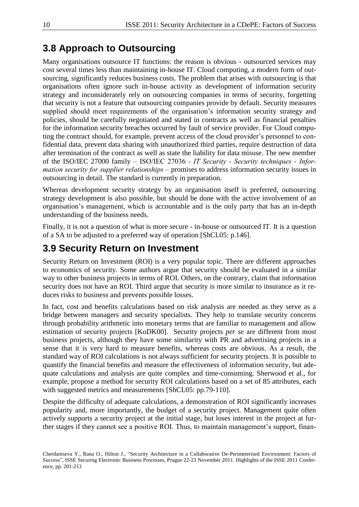#### **3.8 Approach to Outsourcing**

Many organisations outsource IT functions: the reason is obvious - outsourced services may cost several times less than maintaining in-house IT. Cloud computing, a modern form of outsourcing, significantly reduces business costs. The problem that arises with outsourcing is that organisations often ignore such in-house activity as development of information security strategy and inconsiderately rely on outsourcing companies in terms of security, forgetting that security is not a feature that outsourcing companies provide by default. Security measures supplied should meet requirements of the organisation's information security strategy and policies, should be carefully negotiated and stated in contracts as well as financial penalties for the information security breaches occurred by fault of service provider. For Cloud computing the contract should, for example, prevent access of the cloud provider's personnel to confidential data, prevent data sharing with unauthorized third parties, require destruction of data after termination of the contract as well as state the liability for data misuse. The new member of the ISO/IEC 27000 family – ISO/IEC 27036 *- IT Security - Security techniques - Information security for supplier relationships* – promises to address information security issues in outsourcing in detail. The standard is currently in preparation.

Whereas development security strategy by an organisation itself is preferred, outsourcing strategy development is also possible, but should be done with the active involvement of an organisation's management, which is accountable and is the only party that has an in-depth understanding of the business needs.

Finally, it is not a question of what is more secure - in-house or outsourced IT. It is a question of a SA to be adjusted to a preferred way of operation [ShCL05: p.146].

#### **3.9 Security Return on Investment**

Security Return on Investment (ROI) is a very popular topic. There are different approaches to economics of security. Some authors argue that security should be evaluated in a similar way to other business projects in terms of ROI. Others, on the contrary, claim that information security does not have an ROI. Third argue that security is more similar to insurance as it reduces risks to business and prevents possible losses.

In fact, cost and benefits calculations based on risk analysis are needed as they serve as a bridge between managers and security specialists. They help to translate security concerns through probability arithmetic into monetary terms that are familiar to management and allow estimation of security projects [KoDK00]. Security projects *per se* are different from most business projects, although they have some similarity with PR and advertising projects in a sense that it is very hard to measure benefits, whereas costs are obvious. As a result, the standard way of ROI calculations is not always sufficient for security projects. It is possible to quantify the financial benefits and measure the effectiveness of information security, but adequate calculations and analysis are quite complex and time-consuming. Sherwood et al., for example, propose a method for security ROI calculations based on a set of 85 attributes, each with suggested metrics and measurements [ShCL05: pp.79-110].

Despite the difficulty of adequate calculations, a demonstration of ROI significantly increases popularity and, more importantly, the budget of a security project. Management quite often actively supports a security project at the initial stage, but loses interest in the project at further stages if they cannot see a positive ROI. Thus, to maintain management's support, finan-

Cherdantseva Y., Rana O., Hilton J., "Security Architecture in a Collaborative De-Perimeterised Environment: Factors of Success", ISSE Securing Electronic Business Processes, Prague 22-23 November 2011. Highlights of the ISSE 2011 Conference, pp. 201-213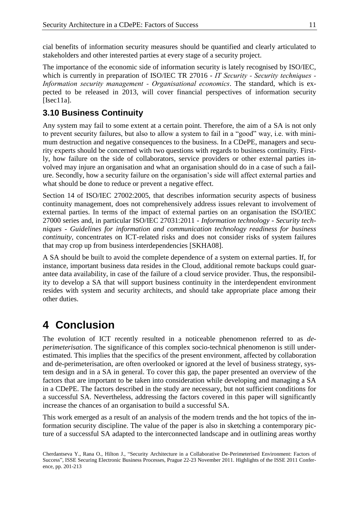cial benefits of information security measures should be quantified and clearly articulated to stakeholders and other interested parties at every stage of a security project.

The importance of the economic side of information security is lately recognised by ISO/IEC, which is currently in preparation of ISO/IEC TR 27016 *- IT Security - Security techniques - Information security management - Organisational economics*. The standard, which is expected to be released in 2013, will cover financial perspectives of information security  $[Isec11a]$ .

#### **3.10 Business Continuity**

Any system may fail to some extent at a certain point. Therefore, the aim of a SA is not only to prevent security failures, but also to allow a system to fail in a "good" way, i.e. with minimum destruction and negative consequences to the business. In a CDePE, managers and security experts should be concerned with two questions with regards to business continuity. Firstly, how failure on the side of collaborators, service providers or other external parties involved may injure an organisation and what an organisation should do in a case of such a failure. Secondly, how a security failure on the organisation's side will affect external parties and what should be done to reduce or prevent a negative effect.

Section 14 of ISO/IEC 27002:2005, that describes information security aspects of business continuity management, does not comprehensively address issues relevant to involvement of external parties. In terms of the impact of external parties on an organisation the ISO/IEC 27000 series and, in particular ISO/IEC 27031:2011 - *Information technology - Security techniques - Guidelines for information and communication technology readiness for business continuity,* concentrates on ICT-related risks and does not consider risks of system failures that may crop up from business interdependencies [SKHA08].

A SA should be built to avoid the complete dependence of a system on external parties. If, for instance, important business data resides in the Cloud, additional remote backups could guarantee data availability, in case of the failure of a cloud service provider. Thus, the responsibility to develop a SA that will support business continuity in the interdependent environment resides with system and security architects, and should take appropriate place among their other duties.

## **4 Conclusion**

The evolution of ICT recently resulted in a noticeable phenomenon referred to as *deperimeterisation*. The significance of this complex socio-technical phenomenon is still underestimated. This implies that the specifics of the present environment, affected by collaboration and de-perimeterisation, are often overlooked or ignored at the level of business strategy, system design and in a SA in general. To cover this gap, the paper presented an overview of the factors that are important to be taken into consideration while developing and managing a SA in a CDePE. The factors described in the study are necessary, but not sufficient conditions for a successful SA. Nevertheless, addressing the factors covered in this paper will significantly increase the chances of an organisation to build a successful SA.

This work emerged as a result of an analysis of the modern trends and the hot topics of the information security discipline. The value of the paper is also in sketching a contemporary picture of a successful SA adapted to the interconnected landscape and in outlining areas worthy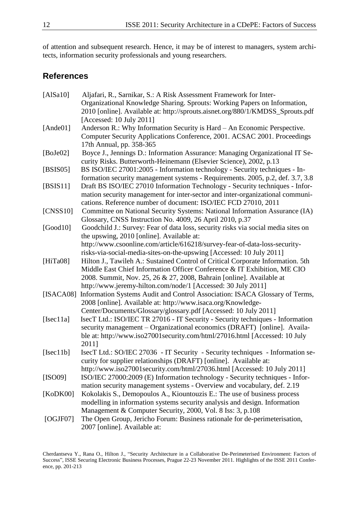of attention and subsequent research. Hence, it may be of interest to managers, system architects, information security professionals and young researchers.

#### **References**

| [AlSa10]  | Aljafari, R., Sarnikar, S.: A Risk Assessment Framework for Inter-                    |
|-----------|---------------------------------------------------------------------------------------|
|           | Organizational Knowledge Sharing. Sprouts: Working Papers on Information,             |
|           | 2010 [online]. Available at: http://sprouts.aisnet.org/880/1/KMDSS_Sprouts.pdf        |
|           | [Accessed: 10 July 2011]                                                              |
| [Ande01]  | Anderson R.: Why Information Security is Hard - An Economic Perspective.              |
|           | Computer Security Applications Conference, 2001. ACSAC 2001. Proceedings              |
|           | 17th Annual, pp. 358-365                                                              |
| [BoJe02]  | Boyce J., Jennings D.: Information Assurance: Managing Organizational IT Se-          |
|           | curity Risks. Butterworth-Heinemann (Elsevier Science), 2002, p.13                    |
| [BSIS05]  | BS ISO/IEC 27001:2005 - Information technology - Security techniques - In-            |
|           | formation security management systems - Requirements. 2005, p.2, def. 3.7, 3.8        |
| [BSIS11]  | Draft BS ISO/IEC 27010 Information Technology - Security techniques - Infor-          |
|           | mation security management for inter-sector and inter-organizational communi-         |
|           | cations. Reference number of document: ISO/IEC FCD 27010, 2011                        |
| [CNSS10]  | Committee on National Security Systems: National Information Assurance (IA)           |
|           | Glossary, CNSS Instruction No. 4009, 26 April 2010, p.37                              |
| [Good10]  | Goodchild J.: Survey: Fear of data loss, security risks via social media sites on     |
|           | the upswing, 2010 [online]. Available at:                                             |
|           | http://www.csoonline.com/article/616218/survey-fear-of-data-loss-security-            |
|           | risks-via-social-media-sites-on-the-upswing [Accessed: 10 July 2011]                  |
| [HiTa08]  | Hilton J., Tawileh A.: Sustained Control of Critical Corporate Information. 5th       |
|           | Middle East Chief Information Officer Conference & IT Exhibition, ME CIO              |
|           | 2008. Summit, Nov. 25, 26 & 27, 2008, Bahrain [online]. Available at                  |
|           | http://www.jeremy-hilton.com/node/1 [Accessed: 30 July 2011]                          |
|           | [ISACA08] Information Systems Audit and Control Association: ISACA Glossary of Terms, |
|           | 2008 [online]. Available at: http://www.isaca.org/Knowledge-                          |
|           | Center/Documents/Glossary/glossary.pdf [Accessed: 10 July 2011]                       |
| [Isec11a] | IsecT Ltd.: ISO/IEC TR 27016 - IT Security - Security techniques - Information        |
|           | security management - Organizational economics (DRAFT) [online]. Availa-              |
|           | ble at: http://www.iso27001security.com/html/27016.html [Accessed: 10 July            |
|           | 2011]                                                                                 |
| [Isec11b] | IsecT Ltd.: SO/IEC 27036 - IT Security - Security techniques - Information se-        |
|           | curity for supplier relationships (DRAFT) [online]. Available at:                     |
|           | http://www.iso27001security.com/html/27036.html [Accessed: 10 July 2011]              |
| [ISO09]   | ISO/IEC 27000:2009 (E) Information technology - Security techniques - Infor-          |
|           | mation security management systems - Overview and vocabulary, def. 2.19               |
| [KoDK00]  | Kokolakis S., Demopoulos A., Kiountouzis E.: The use of business process              |
|           | modelling in information systems security analysis and design. Information            |
|           | Management & Computer Security, 2000, Vol. 8 Iss: 3, p.108                            |
| [OGJF07]  | The Open Group, Jericho Forum: Business rationale for de-perimeterisation,            |
|           | 2007 [online]. Available at:                                                          |